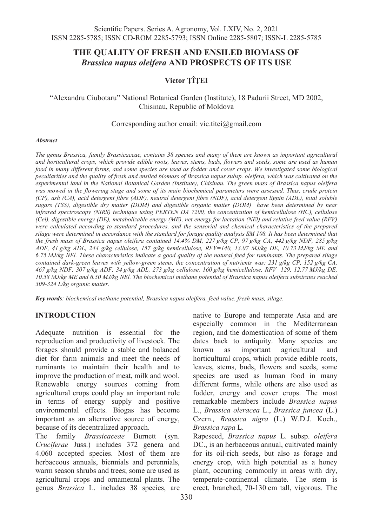# **THE QUALITY OF FRESH AND ENSILED BIOMASS OF** *Brassica napus oleifera* **AND PROSPECTS OF ITS USE**

# **Victor ŢÎŢEI**

## "Alexandru Ciubotaru" National Botanical Garden (Institute), 18 Padurii Street, MD 2002, Chisinau, Republic of Moldova

#### Corresponding author email: vic.titei@gmail.com

#### *Abstract*

*The genus Brassica, family Brassicaceae, contains 38 species and many of them are known as important agricultural and horticultural crops, which provide edible roots, leaves, stems, buds, flowers and seeds, some are used as human food in many different forms, and some species are used as fodder and cover crops. We investigated some biological peculiarities and the quality of fresh and ensiled biomass of Brassica napus subsp. oleifera, which was cultivated on the experimental land in the National Botanical Garden (Institute), Chisinau. The green mass of Brassica napus oleifera*  was mowed in the flowering stage and some of its main biochemical parameters were assessed. Thus, crude protein *(CP), ash (CA), acid detergent fibre (ADF), neutral detergent fibre (NDF), acid detergent lignin (ADL), total soluble sugars (TSS), digestible dry matter (DDM) and digestible organic matter (DOM) have been determined by near infrared spectroscopy (NIRS) technique using PERTEN DA 7200, the concentration of hemicellulose (HC), cellulose (Cel), digestible energy (DE), metabolizable energy (ME), net energy for lactation (NEl) and relative feed value (RFV) were calculated according to standard procedures, and the sensorial and chemical characteristics of the prepared silage were determined in accordance with the standard for forage quality analysis SM 108. It has been determined that the fresh mass of Brassica napus oleifera contained 14.4% DM, 227 g/kg CP, 97 g/kg CA, 442 g/kg NDF, 285 g/kg ADF, 41 g/kg ADL, 244 g/kg cellulose, 157 g/kg hemicellulose, RFV=140, 13.07 MJ/kg DE, 10.73 MJ/kg ME and 6.75 MJ/kg NEl. These characteristics indicate a good quality of the natural feed for ruminants. The prepared silage contained dark-green leaves with yellow-green stems, the concentration of nutrients was: 231 g/kg CP, 152 g/kg CA, 467 g/kg NDF, 307 g/kg ADF, 34 g/kg ADL, 273 g/kg cellulose, 160 g/kg hemicellulose, RFV=129, 12.77 MJ/kg DE, 10.58 MJ/kg ME and 6.50 MJ/kg NEl. The biochemical methane potential of Brassica napus oleifera substrates reached 309-324 L/kg organic matter.* 

*Key words: biochemical methane potential, Brassica napus oleifera, feed value, fresh mass, silage.*

## **INTRODUCTION**

Adequate nutrition is essential for the reproduction and productivity of livestock. The forages should provide a stable and balanced diet for farm animals and meet the needs of ruminants to maintain their health and to improve the production of meat, milk and wool. Renewable energy sources coming from agricultural crops could play an important role in terms of energy supply and positive environmental effects. Biogas has become important as an alternative source of energy, because of its decentralized approach.

The family *Brassicaceae* Burnett (syn. *Cruciferae* Juss.) includes 372 genera and 4.060 accepted species. Most of them are herbaceous annuals, biennials and perennials, warm season shrubs and trees; some are used as agricultural crops and ornamental plants. The genus *Brassica* L. includes 38 species, are

native to Europe and temperate Asia and are especially common in the Mediterranean region, and the domestication of some of them dates back to antiquity. Many species are known as important agricultural and horticultural crops, which provide edible roots, leaves, stems, buds, flowers and seeds, some species are used as human food in many different forms, while others are also used as fodder, energy and cover crops. The most remarkable members include *Brassica napus* L., *Brassica oleracea* L., *Brassica juncea* (L.) Czern.*, Brassica nigra* (L.) W.D.J. Koch., *Brassica rapa* L.

Rapeseed, *Brassica napus* L. subsp. *oleifera* DC., is an herbaceous annual, cultivated mainly for its oil-rich seeds, but also as forage and energy crop, with high potential as a honey plant, occurring commonly in areas with dry, temperate-continental climate. The stem is erect, branched, 70-130 cm tall, vigorous. The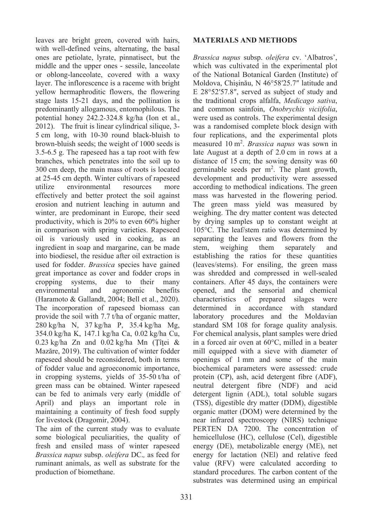leaves are bright green, covered with hairs, with well-defined veins, alternating, the basal ones are petiolate, lyrate, pinnatisect, but the middle and the upper ones - sessile, lanceolate or oblong-lanceolate, covered with a waxy layer. The inflorescence is a raceme with bright yellow hermaphroditic flowers, the flowering stage lasts 15-21 days, and the pollination is predominantly allogamous, entomophilous. The potential honey 242.2*-*324.8 kg/ha (Ion et al., 2012). The fruit is linear cylindrical silique, 3- 5 cm long, with 10-30 round black-bluish to brown-bluish seeds; the weight of 1000 seeds is 3.5-6.5 g. The rapeseed has a tap root with few branches, which penetrates into the soil up to 300 cm deep, the main mass of roots is located at 25-45 cm depth. Winter cultivars of rapeseed utilize environmental resources more effectively and better protect the soil against erosion and nutrient leaching in autumn and winter, are predominant in Europe, their seed productivity, which is 20% to even 60% higher in comparison with spring varieties. Rapeseed oil is variously used in cooking, as an ingredient in soap and margarine, can be made into biodiesel, the residue after oil extraction is used for fodder. *Brassica* species have gained great importance as cover and fodder crops in cropping systems, due to their many environmental and agronomic benefits (Haramoto & Gallandt, 2004; Bell et al., 2020). The incorporation of rapeseed biomass can provide the soil with 7.7 t/ha of organic matter, 280 kg/ha N, 37 kg/ha P, 35.4 kg/ha Mg, 354.0 kg/ha K, 147.1 kg/ha Ca, 0.02 kg/ha Cu,  $0.23$  kg/ha Zn and  $0.02$  kg/ha Mn (Tîtei & Mazăre, 2019). The cultivation of winter fodder rapeseed should be reconsidered, both in terms of fodder value and agroeconomic importance, in cropping systems, yields of 35-50 t/ha of green mass can be obtained. Winter rapeseed can be fed to animals very early (middle of April) and plays an important role in maintaining a continuity of fresh food supply for livestock (Dragomir, 2004).

The aim of the current study was to evaluate some biological peculiarities, the quality of fresh and ensiled mass of winter rapeseed *Brassica napus* subsp. *oleifera* DC.*,* as feed for ruminant animals, as well as substrate for the production of biomethane.

### **MATERIALS AND METHODS**

*Brassica napus* subsp. *oleifera* cv. 'Albatros', which was cultivated in the experimental plot of the National Botanical Garden (Institute) of Moldova, Chişinău, N 46°58′25.7″ latitude and E 28°52′57.8″, served as subject of study and the traditional crops alfalfa, *Medicago sativa*, and common sainfoin, *Onobrychis viciifolia*, were used as controls. The experimental design was a randomised complete block design with four replications, and the experimental plots measured 10 m<sup>2</sup> . *Brassica napus* was sown in late August at a depth of 2.0 cm in rows at a distance of 15 cm; the sowing density was 60 germinable seeds per  $m^2$ . The plant growth, development and productivity were assessed according to methodical indications. The green mass was harvested in the flowering period. The green mass yield was measured by weighing. The dry matter content was detected by drying samples up to constant weight at 105°C. The leaf/stem ratio was determined by separating the leaves and flowers from the separately and separately and stem, weighing them separately and establishing the ratios for these quantities (leaves/stems). For ensiling, the green mass was shredded and compressed in well-sealed containers. After 45 days, the containers were opened, and the sensorial and chemical characteristics of prepared silages were determined in accordance with standard laboratory procedures and the Moldavian standard SM 108 for forage quality analysis. For chemical analysis, plant samples were dried in a forced air oven at 60°C, milled in a beater mill equipped with a sieve with diameter of openings of 1 mm and some of the main biochemical parameters were assessed: crude protein (CP), ash, acid detergent fibre (ADF), neutral detergent fibre (NDF) and acid detergent lignin (ADL), total soluble sugars (TSS), digestible dry matter (DDM), digestible organic matter (DOM) were determined by the near infrared spectroscopy (NIRS) technique PERTEN DA 7200. The concentration of hemicellulose (HC), cellulose (Cel), digestible energy (DE), metabolizable energy (ME), net energy for lactation (NEl) and relative feed value (RFV) were calculated according to standard procedures. The carbon content of the substrates was determined using an empirical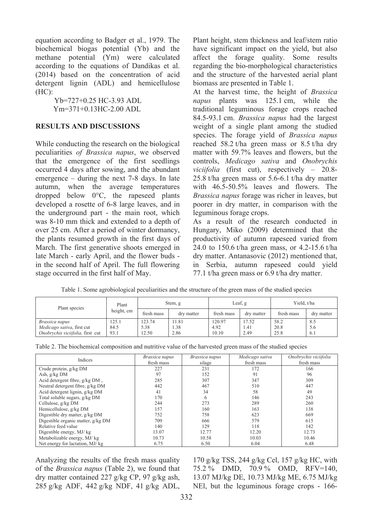equation according to Badger et al., 1979. The biochemical biogas potential (Yb) and the methane potential (Ym) were calculated according to the equations of Dandikas et al. (2014) based on the concentration of acid detergent lignin (ADL) and hemicellulose (HC):

> Yb=727+0.25 HC-3.93 ADL Ym=371+0.13HC-2.00 ADL

### **RESULTS AND DISCUSSIONS**

While conducting the research on the biological peculiarities *of Brassica napus*, we observed that the emergence of the first seedlings occurred 4 days after sowing, and the abundant emergence – during the next 7-8 days. In late autumn, when the average temperatures dropped below 0°C, the rapeseed plants developed a rosette of 6-8 large leaves, and in the underground part - the main root, which was 8-10 mm thick and extended to a depth of over 25 cm. After a period of winter dormancy, the plants resumed growth in the first days of March. The first generative shoots emerged in late March - early April, and the flower buds in the second half of April. The full flowering stage occurred in the first half of May.

Plant height, stem thickness and leaf/stem ratio have significant impact on the yield, but also affect the forage quality. Some results regarding the bio-morphological characteristics and the structure of the harvested aerial plant biomass are presented in Table 1.

At the harvest time, the height of *Brassica napus* plants was 125.1 cm, while the traditional leguminous forage crops reached 84.5-93.1 cm. *Brassica napus* had the largest weight of a single plant among the studied species. The forage yield of *Brassica napus*  reached 58.2 t/ha green mass or 8.5 t/ha dry matter with 59.7% leaves and flowers, but the controls, *Medicago sativa* and *Onobrychis viciifolia* (first cut), respectively – 20.8- 25.8 t/ha green mass or 5.6-6.1 t/ha dry matter with 46.5-50.5% leaves and flowers. The *Brassica napus* forage was richer in leaves, but poorer in dry matter, in comparison with the leguminous forage crops.

As a result of the research conducted in Hungary, Miko (2009) determined that the productivity of autumn rapeseed varied from 24.0 to 150.6 t/ha green mass, or 4.2-15.6 t/ha dry matter. Antanasovic (2012) mentioned that, in Serbia, autumn rapeseed could yield 77.1 t/ha green mass or 6.9 t/ha dry matter.

| Plant species                    | Plant<br>height, cm | Stem, g    |            | Leaf, g    |            | Yield, t/ha |            |
|----------------------------------|---------------------|------------|------------|------------|------------|-------------|------------|
|                                  |                     | fresh mass | dry matter | fresh mass | dry matter | fresh mass  | dry matter |
| Brassica napus                   | 25.1                | 123.74     | 11.81      | 120.97     | 17.52      | 58.2        | 8.5        |
| Medicago sativa, first cut       | 84.5                | 5.38       | 1.38       | 4.92       | 1.41       | 20.8        | 5.6        |
| Onobrychis viciifolia, first cut | 93.1                | 12.50      | 2.86       | 10.10      | 2.49       | 25.8        | 6.1        |

Table 1. Some agrobiological peculiarities and the structure of the green mass of the studied species

| Indices                            | Brassica napus | Brassica napus |            | Onobrychis viciifolia |  |
|------------------------------------|----------------|----------------|------------|-----------------------|--|
|                                    | fresh mass     | silage         | fresh mass | fresh mass            |  |
| Crude protein, g/kg DM             | 227            | 231            | 172        | 166                   |  |
| Ash, g/kg DM                       | 97             | 152            | 91         | 96                    |  |
| Acid detergent fibre, g/kg DM,     | 285            | 307            | 347        | 309                   |  |
| Neutral detergent fibre, g/kg DM   | 442            | 467            | 510        | 447                   |  |
| Acid detergent lignin, g/kg DM     | 41             | 34             | 58         | 49                    |  |
| Total soluble sugars, g/kg DM      | 170            | 6              | 146        | 243                   |  |
| Cellulose, g/kg DM                 | 244            | 273            | 289        | 260                   |  |
| Hemicellulose, g/kg DM             | 157            | 160            | 163        | 138                   |  |
| Digestible dry matter, g/kg DM     | 752            | 758            | 623        | 669                   |  |
| Digestible organic matter, g/kg DM | 709            | 666            | 579        | 615                   |  |
| Relative feed value                | 140            | 129            | 118        | 142                   |  |
| Digestible energy, MJ/kg           | 13.07          | 12.77          | 12.20      | 12.73                 |  |
| Metabolizable energy, MJ/kg        | 10.73          | 10.58          | 10.03      | 10.46                 |  |
| Net energy for lactation, MJ/kg    | 6.75           | 6.50           | 6.04       | 6.48                  |  |

Analyzing the results of the fresh mass quality of the *Brassica napus* (Table 2), we found that dry matter contained 227 g/kg CP, 97 g/kg ash, 285 g/kg ADF, 442 g/kg NDF, 41 g/kg ADL,

170 g/kg TSS, 244 g/kg Cel, 157 g/kg HC, with 75.2 % DMD, 70.9 % OMD, RFV=140, 13.07 MJ/kg DE, 10.73 MJ/kg ME, 6.75 MJ/kg NEl, but the leguminous forage crops - 166-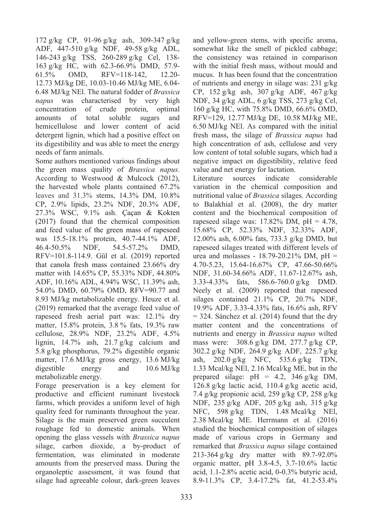172 g/kg CP, 91-96 g/kg ash, 309-347 g/kg ADF, 447-510 g/kg NDF, 49-58 g/kg ADL, 146-243 g/kg TSS, 260-289 g/kg Cel, 138- 163 g/kg HC, with 62.3-66.9% DMD, 57.9- 61.5% OMD, RFV=118-142, 12.20- 12.73 MJ/kg DE, 10.03-10.46 MJ/kg ME, 6.04- 6.48 MJ/kg NEl. The natural fodder of *Brassica napus* was characterised by very high concentration of crude protein, optimal amounts of total soluble sugars and hemicellulose and lower content of acid detergent lignin, which had a positive effect on its digestibility and was able to meet the energy needs of farm animals.

Some authors mentioned various findings about the green mass quality of *Brassica napus.* According to Westwood & Mulcock (2012), the harvested whole plants contained 67.2% leaves and 31.3% stems, 14.3% DM, 10.8% CP, 2.9% lipids, 23.2% NDF, 20.3% ADF, 27.3% WSC, 9.1% ash. Çaçan & Kokten (2017) found that the chemical composition and feed value of the green mass of rapeseed was 15.5-18.1% protein, 40.7-44.1% ADF, 46.4-50.5% NDF, 54.5-57.2% DMD, RFV=101.8-114.9. Gül et al. (2019) reported that canola fresh mass contained 23.66% dry matter with 14.65% CP, 55.33% NDF, 44.80% ADF, 10.16% ADL, 4.94% WSC, 11.39% ash, 54.0% DMD, 60.79% OMD, RFV=90.77 and 8.93 MJ/kg metabolizable energy. Heuze et al. (2019) remarked that the average feed value of rapeseed fresh aerial part was: 12.1% dry matter, 15.8% protein, 3.8 % fats, 19.3% raw cellulose, 28.9% NDF, 23.2% ADF, 4.5% lignin, 14.7% ash, 21.7 g/kg calcium and 5.8 g/kg phosphorus, 79.2% digestible organic matter, 17.6 MJ/kg gross energy, 13.6 MJ/kg digestible energy and 10.6 MJ/kg metabolizable energy.

Forage preservation is a key element for productive and efficient ruminant livestock farms, which provides a uniform level of high quality feed for ruminants throughout the year. Silage is the main preserved green succulent roughage fed to domestic animals. When opening the glass vessels with *Brassica napus* silage, carbon dioxide, a by-product of fermentation, was eliminated in moderate amounts from the preserved mass. During the organoleptic assessment, it was found that silage had agreeable colour, dark-green leaves

and yellow-green stems, with specific aroma, somewhat like the smell of pickled cabbage; the consistency was retained in comparison with the initial fresh mass, without mould and mucus. It has been found that the concentration of nutrients and energy in silage was: 231 g/kg CP, 152 g/kg ash, 307 g/kg ADF, 467 g/kg NDF, 34 g/kg ADL, 6 g/kg TSS, 273 g/kg Cel, 160 g/kg HC, with 75.8% DMD, 66.6% OMD, RFV=129, 12.77 MJ/kg DE, 10.58 MJ/kg ME, 6.50 MJ/kg NEl. As compared with the initial fresh mass, the silage of *Brassica napus* had high concentration of ash, cellulose and very low content of total soluble sugars, which had a negative impact on digestibility, relative feed value and net energy for lactation.<br>Literature sources indicate

Literature sources indicate considerable variation in the chemical composition and nutritional value of *Brassica* silages. According to Balakhial et al. (2008), the dry matter content and the biochemical composition of rapeseed silage was:  $17.82\%$  DM,  $pH = 4.78$ , 15.68% CP, 52.33% NDF, 32.33% ADF, 12.00% ash, 6.00% fats, 733.3 g/kg DMD, but rapeseed silages treated with different levels of urea and molasses -  $18.79 - 20.21\%$  DM, pH = 4.70-5.23, 15.64-16.67% CP, 47.66-50.66% NDF, 31.60-34.66% ADF, 11.67-12.67% ash, 3.33-4.33% fats, 586.6-760.0 g/kg DMD. Neely et al. (2009) reported that rapeseed silages contained 21.1% CP, 20.7% NDF, 19.9% ADF, 3.33-4.33% fats, 16.6% ash, RFV  $= 324$ . Sánchez et al. (2014) found that the dry matter content and the concentrations of nutrients and energy in *Brassica napus* wilted mass were: 308.6 g/kg DM, 277.7 g/kg CP, 302.2 g/kg NDF, 264.9 g/kg ADF, 225.7 g/kg ash, 202.0 g/kg NFC, 535.6 g/kg TDN, 1.33 Mcal/kg NEl, 2.16 Mcal/kg ME, but in the prepared silage:  $pH = 4.2$ , 346 g/kg DM, 126.8 g/kg lactic acid, 110.4 g/kg acetic acid, 7.4 g/kg propionic acid, 259 g/kg CP, 258 g/kg NDF, 235 g/kg ADF, 205 g/kg ash, 315 g/kg NFC, 598 g/kg TDN, 1.48 Mcal/kg NEl, 2.38 Mcal/kg ME. Herrmann et al. (2016) studied the biochemical composition of silages made of various crops in Germany and remarked that *Brassica napus* silage contained 213-364 g/kg dry matter with 89.7-92.0% organic matter, pH 3.8-4.5, 3.7-10.6% lactic acid, 1.1-2.8% acetic acid, 0-0.3% butyric acid, 8.9-11.3% CP, 3.4-17.2% fat, 41.2-53.4%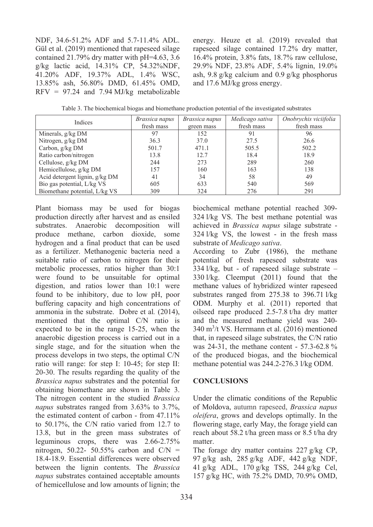NDF, 34.6-51.2% ADF and 5.7-11.4% ADL. Gül et al. (2019) mentioned that rapeseed silage contained 21.79% dry matter with pH=4.63, 3.6 g/kg lactic acid, 14.31% CP, 54.32%NDF, 41.20% ADF, 19.37% ADL, 1.4% WSC, 13.85% ash, 56.80% DMD, 61.45% OMD, RFV = 97.24 and 7.94 MJ/kg metabolizable

energy. Heuze et al. (2019) revealed that rapeseed silage contained 17.2% dry matter, 16.4% protein, 3.8% fats, 18.7% raw cellulose, 29.9% NDF, 23.8% ADF, 5.4% lignin, 19.0% ash, 9.8 g/kg calcium and 0.9 g/kg phosphorus and 17.6 MJ/kg gross energy.

|  | Table 3. The biochemical biogas and biomethane production potential of the investigated substrates |  |  |  |  |  |  |  |
|--|----------------------------------------------------------------------------------------------------|--|--|--|--|--|--|--|
|--|----------------------------------------------------------------------------------------------------|--|--|--|--|--|--|--|

| <b>Indices</b>                 | Brassica napus | Brassica napus | Medicago sativa | Onobrychis viciifolia |
|--------------------------------|----------------|----------------|-----------------|-----------------------|
|                                | fresh mass     | green mass     | fresh mass      | fresh mass            |
| Minerals, $g/kg DM$            | 97             | 152            | 91              | 96                    |
| Nitrogen, g/kg DM              | 36.3           | 37.0           | 27.5            | 26.6                  |
| Carbon, g/kg DM                | 501.7          | 471.1          | 505.5           | 502.2                 |
| Ratio carbon/nitrogen          | 13.8           | 12.7           | 18.4            | 18.9                  |
| Cellulose, g/kg DM             | 244            | 273            | 289             | 260                   |
| Hemicellulose, g/kg DM         | 157            | 160            | 163             | 138                   |
| Acid detergent lignin, g/kg DM | 41             | 34             | 58              | 49                    |
| Bio gas potential, L/kg VS     | 605            | 633            | 540             | 569                   |
| Biomethane potential, L/kg VS  | 309            | 324            | 276             | 291                   |

Plant biomass may be used for biogas production directly after harvest and as ensiled substrates. Anaerobic decomposition will produce methane, carbon dioxide, some hydrogen and a final product that can be used as a fertilizer. Methanogenic bacteria need a suitable ratio of carbon to nitrogen for their metabolic processes, ratios higher than 30:1 were found to be unsuitable for optimal digestion, and ratios lower than 10:1 were found to be inhibitory, due to low pH, poor buffering capacity and high concentrations of ammonia in the substrate. Dobre et al*.* (2014), mentioned that the optimal C/N ratio is expected to be in the range 15-25, when the anaerobic digestion process is carried out in a single stage, and for the situation when the process develops in two steps, the optimal C/N ratio will range: for step I: 10-45; for step II: 20-30. The results regarding the quality of the *Brassica napus* substrates and the potential for obtaining biomethane are shown in Table 3. The nitrogen content in the studied *Brassica napus* substrates ranged from 3.63% to 3.7%, the estimated content of carbon - from 47.11% to 50.17%, the C/N ratio varied from 12.7 to 13.8, but in the green mass substrates of leguminous crops, there was 2.66-2.75% nitrogen, 50.22- 50.55% carbon and  $C/N =$ 18.4-18.9. Essential differences were observed between the lignin contents. The *Brassica napus* substrates contained acceptable amounts of hemicellulose and low amounts of lignin; the

biochemical methane potential reached 309- 324 l/kg VS. The best methane potential was achieved in *Brassica napus* silage substrate - 324 l/kg VS, the lowest - in the fresh mass substrate of *Medicago sativa*.

According to Zubr (1986), the methane potential of fresh rapeseed substrate was 334 l/kg, but - of rapeseed silage substrate *–* 330 l/kg. Cleemput (2011) found that the methane values of hybridized winter rapeseed substrates ranged from 275.38 to 396.71 l/kg ODM. Murphy et al. (2011) reported that oilseed rape produced 2.5-7.8 t/ha dry matter and the measured methane yield was 240- 340 m<sup>3</sup> /t VS. Herrmann et al. (2016) mentioned that, in rapeseed silage substrates, the C/N ratio was 24-31, the methane content - 57.3-62.8 % of the produced biogas, and the biochemical methane potential was 244.2-276.3 l/kg ODM.

### **CONCLUSIONS**

Under the climatic conditions of the Republic of Moldova, autumn rapeseed, *Brassica napus oleifera*, grows and develops optimally. In the flowering stage, early May, the forage yield can reach about 58.2 t/ha green mass or 8.5 t/ha dry matter.

The forage dry matter contains 227 g/kg CP, g/kg ash, 285 g/kg ADF, 442 g/kg NDF, g/kg ADL, 170 g/kg TSS, 244 g/kg Cel, g/kg HC, with 75.2% DMD, 70.9% OMD,